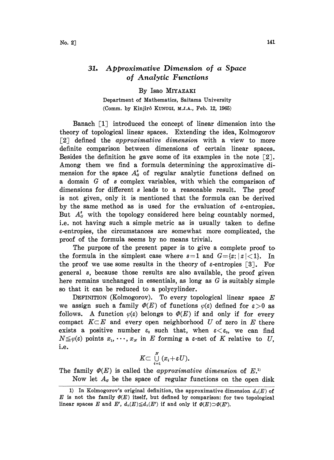## 31. Approximative Dimension of a Space of Analytic Functions

## By Isao MIYAZAKI

Department of Mathematics, Saitama University (Comm. by Kinjirô KUNUGI, M.J.A., Feb. 12, 1965)

Banach [1] introduced the concept of linear dimension into the theory of topological linear spaces. Extending the idea, Kolmogorov  $\lceil 2 \rceil$  defined the *approximative dimension* with a view to more definite comparison between dimensions of certain linear spaces.. Besides the definition he gave some of its examples in the note  $\lceil 2 \rceil$ . Among them we find a formula determining the approximative dimension for the space  $A_{\sigma}^{s}$  of regular analytic functions defined on <sup>a</sup> domain G of <sup>s</sup> complex variables, with which the comparison of dimensions for different s leads to a reasonable result. The proof is not given, only it is mentioned that the formula can be derived by the same method as is used for the evaluation of  $\varepsilon$ -entropies. But  $A_{\sigma}^{s}$  with the topology considered here being countably normed, i.e. not having such a simple metric as is usually taken to define. e-entropies, the circumstances are somewhat more complicated, the proof of the formula seems by no means trivial.

The purpose of the present paper is to give a complete proof to the formula in the simplest case where  $s=1$  and  $G=[z;|z|<1$ . In the proof we use some results in the theory of  $\varepsilon$ -entropies [3]. For general s, because those results are also available, the proof given here remains unchanged in essentials, as long as  $G$  is suitably simple so that it can be reduced to a polycylinder.

DEFINITION (Kolmogorov). To every topological linear space  $E$ we assign such a family  $\mathcal{P}(E)$  of functions  $\varphi(\varepsilon)$  defined for  $\varepsilon > 0$  as follows. A function  $\varphi(\varepsilon)$  belongs to  $\varPhi(E)$  if and only if for every compact  $K\subset E$  and every open neighborhood U of zero in E there exists a positive number  $\varepsilon_0$  such that, when  $\varepsilon < \varepsilon_0$ , we can find  $N \leq \varphi(\varepsilon)$  points  $x_1, \dots, x_N$  in E forming a  $\varepsilon$ -net of K relative to U, i.e.

$$
K \subset \bigcup_{i=1}^N (x_i + \varepsilon U).
$$

The family  $\Phi(E)$  is called the approximative dimension of  $E^{(1)}$ .

Now let  $A<sub>g</sub>$  be the space of regular functions on the open disk

<sup>1)</sup> In Kolmogorov's original definition, the approximative dimension  $d_a(E)$  of E is not the family  $\Phi(E)$  itself, but defined by comparison: for two topological linear spaces E and E',  $d_{\alpha}(E) \leq d_{\alpha}(E')$  if and only if  $\Phi(E) \supset \Phi(E')$ .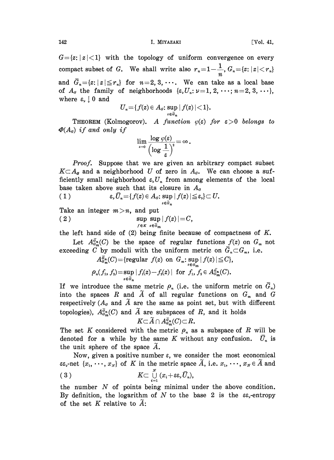$G = \{z : |z| < 1\}$  with the topology of uniform convergence on every compact subset of G. We shall write also  $r_n=1-\frac{1}{n}$ ,  $G_n=\{z: |z|< r_n\}$ and  $G_n = \{z : |z| \leq r_n\}$  for  $n=2, 3, \cdots$ . We can take as a local base of  $A_{\alpha}$  the family of neighborhoods  $\{\varepsilon, U_n : \nu = 1, 2, \dots; n = 2, 3, \dots\},$ where  $\varepsilon_{\nu} \downarrow 0$  and

$$
U_{n} = \{f(z) \in A_{d}: \sup_{z \in \bar{d}_{n}} |f(z)| < 1\}.
$$

**THEOREM** (Kolmogorov). A function  $\varphi(\varepsilon)$  for  $\varepsilon > 0$  belongs to  $\Phi(A_{\alpha})$  if and only if

$$
\lim_{\epsilon \to 0} \frac{\log \varphi(\varepsilon)}{\left(\log \frac{1}{\varepsilon}\right)^2} = \infty.
$$

Proof. Suppose that we are given an arbitrary compact subset  $K\subset A_{\sigma}$  and a neighborhood U of zero in  $A_{\sigma}$ . We can choose a sufficiently small neighborhood  $\varepsilon_{\nu}U_{n}$  from among elements of the local base taken above such that its closure in  $A_{\sigma}$ 

 $\epsilon, \bar U_n{=\hspace{-2.5pt}}\{f(z)\hspace{-2.5pt}\in\hspace{-2.5pt} A_d{:}\sup_{z\in \bar{\bar{a}}_n}|f(z)|{\leqq}\hspace{-2.5pt}\epsilon,\hspace{-2.5pt}}\}\hspace{-2.5pt}\subset U.$ 

Take an integer 
$$
m > n
$$
, and put  
\n(2)  $\sup_{f \in K} \sup_{z \in \overline{d}_m} |f(z)| = C$ ,

the left hand side of  $(2)$  being finite because of compactness of  $K$ .

Let  $A_{\theta_m}^{\bar{q}_n}(C)$  be the space of regular functions  $f(z)$  on  $G_m$  not exceeding C by moduli with the uniform metric on  $\bar{G}_n \subset G_m$ , i.e.

$$
A^{\overline{g}_m}_{\sigma_m}(C) = \{ \text{regular } f(z) \text{ on } G_m \colon \sup_{z \in G_m} |f(z)| \leq C \},
$$
  

$$
\rho_n(f_1, f_2) = \sup_{z \in \overline{G}_n} |f_1(z) - f_2(z)| \text{ for } f_1, f_2 \in A^{\overline{g}_m}_{\sigma_m}(C).
$$

If we introduce the same metric  $\rho_n$  (i.e. the uniform metric on  $\bar{G}_n$ ) into the spaces R and  $\widetilde{A}$  of all regular functions on  $G_m$  and  $G$ respectively ( $A_{\sigma}$  and  $\widetilde{A}$  are the same as point set, but with different topologies),  $A_{\theta_m^m}^{\overline{q}_n}(C)$  and  $\widetilde{A}$  are subspaces of  $R$ , and it holds  $K\subset \widetilde{A}\cap A_{\theta_m^m}^{\overline{q}_n}(C)\subset R$ .

$$
K{\subset}\widetilde{A}\cap A_{a_m}^{\overline{a}_n}(C){\subset}R.
$$

The set K considered with the metric  $\rho_n$  as a subspace of R will be denoted for a while by the same K without any confusion.  $\bar{U}_n$  is the unit sphere of the space  $A$ .

Now, given a positive number  $\varepsilon$ , we consider the most economical  $\epsilon \epsilon_{\gamma}$ -net  $\{x_1, \cdots, x_N\}$  of K in the metric space  $\tilde{A}$ , i.e.  $x_1, \cdots, x_N \in \tilde{A}$  and (3)  $K \subset \bigcup_{i=1}^N (x_i + \varepsilon \varepsilon, \overline{U}_n),$ 

the number  $N$  of points being minimal under the above condition. By definition, the logarithm of N to the base 2 is the  $\varepsilon_{\varepsilon}$ -entropy of the set  $K$  relative to  $\tilde{A}$ .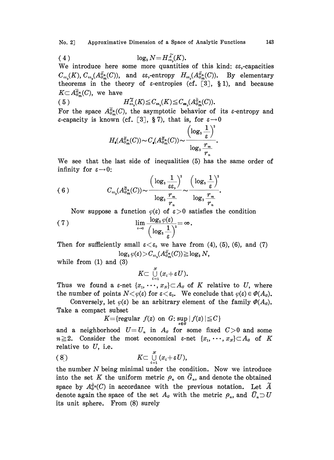$$
(4) \tlog_2 N = H_{\epsilon \epsilon_{\nu}}^{\widetilde{A}}(K).
$$

We introduce here some more quantities of this kind:  $\varepsilon \varepsilon$ -capacities  $C_{\epsilon s}(K)$ ,  $C_{\epsilon s}(A_{\sigma_m}^{\bar{G}_n}(C))$ , and  $\epsilon s$ , entropy  $H_{\epsilon s}(A_{\sigma_m}^{\bar{G}_n}(C))$ . By elementary theorems in the theory of  $\varepsilon$ -entropies (cf. [3], §1), and because  $K \subset \overline{A_{\sigma^m}^{\sigma_n}}(C)$ , we have

(5) 
$$
H_{\epsilon\epsilon_{\nu}}^{\mathcal{A}}(K) \leq C_{\epsilon\epsilon_{\nu}}(K) \leq C_{\epsilon\epsilon_{\nu}}(A_{\epsilon_{m}}^{\bar{\alpha}_{m}}(C)).
$$

For the space  $A_{\mathcal{G}_m}^{\alpha_n}(C)$ , the asymptotic behavior of its  $\varepsilon$ -entropy and  $\varepsilon$ -capacity is known (cf. [3], §7), that is, for  $\varepsilon \rightarrow 0$ 

$$
H_{\bullet}(A^{\overline{a}_n}_{\sigma_m}(C))\!\sim\! C_{\bullet}(A^{\overline{a}_n}_{\sigma_m}(C))\!\sim\!\frac{\left(\log_{\scriptscriptstyle 2}\frac{1}{\varepsilon}\right)^{\scriptscriptstyle 2}}{\log_{\scriptscriptstyle 2}\frac{r_m}{r_n}}
$$

We see that the last side of inequalities (5) has the same order of infinity for  $\varepsilon \rightarrow 0$ :

(6) 
$$
C_{\epsilon\epsilon_{\mathsf{y}}}(A_{\sigma_{m}}^{\overline{\sigma}_{n}}(C)) \sim \frac{\left(\log_{2}\frac{1}{\varepsilon\epsilon_{\mathsf{y}}}\right)^{2}}{\log_{2}\frac{r_{m}}{r_{n}}}\sim \frac{\left(\log_{2}\frac{1}{\varepsilon}\right)^{2}}{\log_{2}\frac{r_{m}}{r_{n}}}.
$$

Now suppose a function  $\varphi(\varepsilon)$  of  $\varepsilon > 0$  satisfies the condition

(7) 
$$
\lim_{\epsilon \to 0} \frac{\log_2 \varphi(\epsilon)}{\left(\log_2 \frac{1}{\epsilon}\right)^2} = \infty.
$$

Then for sufficiently small  $\varepsilon < \varepsilon_0$  we have from (4), (5), (6), and (7)  $\log_2 \varphi(\varepsilon) \!>\! C_{\varepsilon\circ} (A_{G_m}^{\overline{g}_n}(C))\!\ge\! \log_2 N,$ 

while from (1) and (3)

$$
K\subset\mathop{\cup}\limits_{i=1}^{N}(x_{i}+\varepsilon U).
$$

Thus we found a  $\varepsilon$ -net  $\{x_1, \dots, x_N\} \subset A_\varepsilon$  of K relative to U, where the number of points  $N < \varphi(\varepsilon)$  for  $\varepsilon < \varepsilon_0$ . We conclude that  $\varphi(\varepsilon) \in \varPhi(A_\varepsilon)$ .

Conversely, let  $\varphi(\varepsilon)$  be an arbitrary element of the family  $\varPhi(A_{\varepsilon})$ . Take a compact subset

$$
K = \{ \text{regular } f(z) \text{ on } G \colon \sup_{z \in G} |f(z)| \leq C \}
$$

and a neighborhood  $U=U_n$  in  $A_a$  for some fixed  $C>0$  and some  $n \geq 2$ . Consider the most economical  $\varepsilon$ -net  $\{x_1, \dots, x_N\} \subset A_g$  of K relative to  $U$ , i.e.

$$
(8^{\tilde{}}_{\cdot}) \qquad \qquad K \subset \bigcup_{i=1}^N (x_i + \varepsilon U),
$$

the number  $N$  being minimal under the condition. Now we introduce into the set K the uniform metric  $\rho_n$  on  $\overline{G}_n$ , and denote the obtained space by  $A_{\sigma}^{\tilde{g}_n}(C)$  in accordance with the previous notation. Let  $\tilde{A}$ denote again the space of the set  $A_{\sigma}$  with the metric  $\rho_n$ , and  $\bar{U}_n \supset U$ its unit sphere. From (8) surely